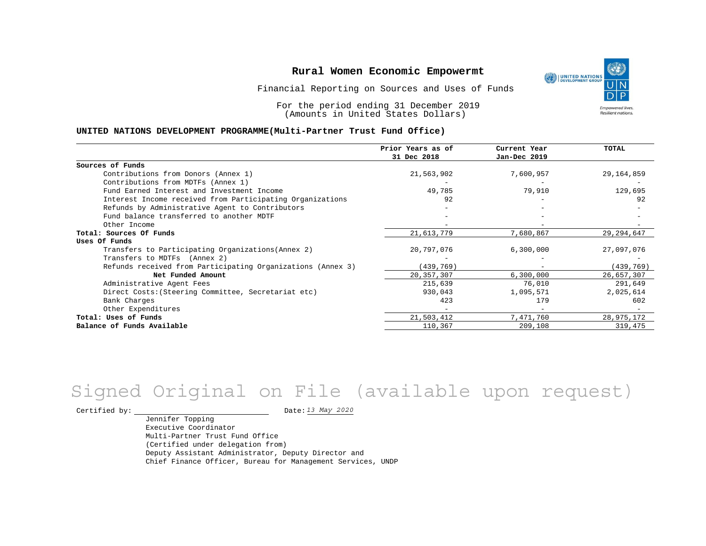Financial Reporting on Sources and Uses of Funds

For the period ending 31 December 2019 (Amounts in United States Dollars)

#### **UNITED NATIONS DEVELOPMENT PROGRAMME(Multi-Partner Trust Fund Office)**

|                                                             | Prior Years as of | Current Year             | <b>TOTAL</b> |
|-------------------------------------------------------------|-------------------|--------------------------|--------------|
|                                                             | 31 Dec 2018       | Jan-Dec 2019             |              |
| Sources of Funds                                            |                   |                          |              |
| Contributions from Donors (Annex 1)                         | 21,563,902        | 7,600,957                | 29,164,859   |
| Contributions from MDTFs (Annex 1)                          |                   |                          |              |
| Fund Earned Interest and Investment Income                  | 49,785            | 79,910                   | 129,695      |
| Interest Income received from Participating Organizations   | 92                |                          | 92           |
| Refunds by Administrative Agent to Contributors             |                   |                          |              |
| Fund balance transferred to another MDTF                    |                   |                          |              |
| Other Income                                                |                   |                          |              |
| Total: Sources Of Funds                                     | 21,613,779        | 7,680,867                | 29, 294, 647 |
| Uses Of Funds                                               |                   |                          |              |
| Transfers to Participating Organizations (Annex 2)          | 20,797,076        | 6,300,000                | 27,097,076   |
| Transfers to MDTFs (Annex 2)                                |                   |                          |              |
| Refunds received from Participating Organizations (Annex 3) | (439, 769)        | $\overline{\phantom{m}}$ | (439, 769)   |
| Net Funded Amount                                           | 20, 357, 307      | 6,300,000                | 26,657,307   |
| Administrative Agent Fees                                   | 215,639           | 76,010                   | 291,649      |
| Direct Costs: (Steering Committee, Secretariat etc)         | 930,043           | 1,095,571                | 2,025,614    |
| Bank Charges                                                | 423               | 179                      | 602          |
| Other Expenditures                                          |                   |                          |              |
| Total: Uses of Funds                                        | 21,503,412        | 7,471,760                | 28,975,172   |
| Balance of Funds Available                                  | 110,367           | 209,108                  | 319,475      |

## *13 May 2020* Signed Original on File (available upon request)

Certified by:  $\frac{13 May 2020}{1200}$ 

Jennifer Topping Executive Coordinator Multi-Partner Trust Fund Office (Certified under delegation from) Deputy Assistant Administrator, Deputy Director and Chief Finance Officer, Bureau for Management Services, UNDP

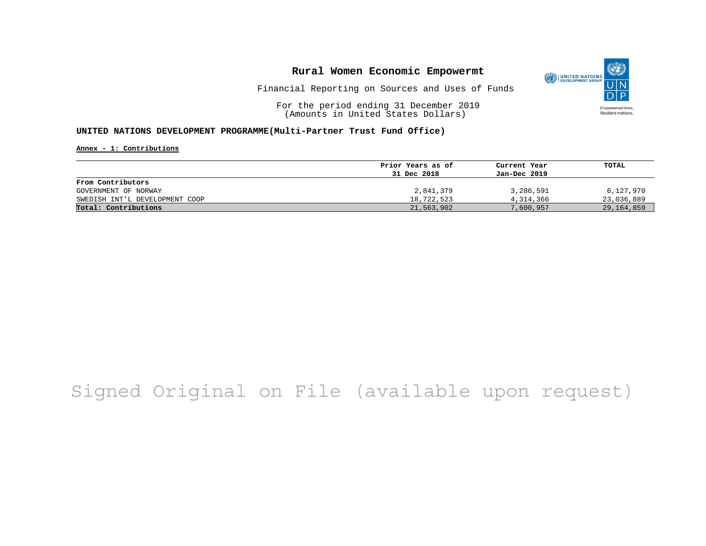

Financial Reporting on Sources and Uses of Funds

For the period ending 31 December 2019 (Amounts in United States Dollars)

#### **UNITED NATIONS DEVELOPMENT PROGRAMME(Multi-Partner Trust Fund Office)**

**Annex - 1: Contributions**

|                                | Prior Years as of | Current Year | TOTAL        |
|--------------------------------|-------------------|--------------|--------------|
|                                | 31 Dec 2018       | Jan-Dec 2019 |              |
| From Contributors              |                   |              |              |
| GOVERNMENT OF NORWAY           | 2,841,379         | 3,286,591    | 6,127,970    |
| SWEDISH INT'L DEVELOPMENT COOP | 18,722,523        | 4,314,366    | 23,036,889   |
| Total: Contributions           | 21,563,902        | 7,600,957    | 29, 164, 859 |

# Signed Original on File (available upon request)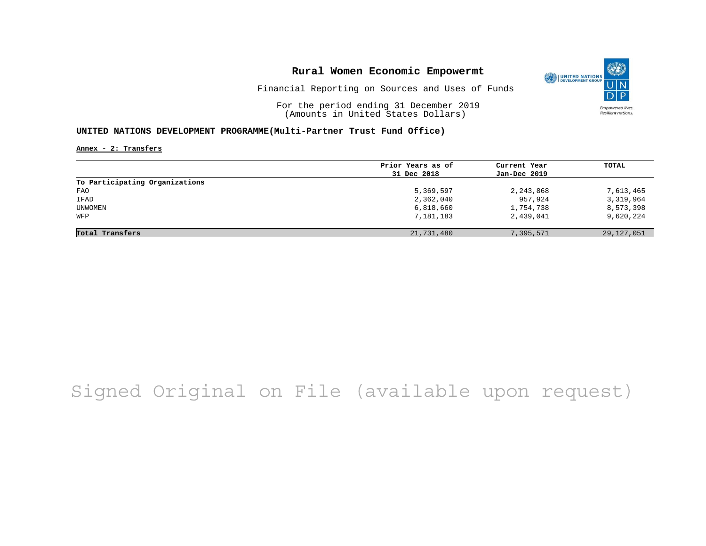

Financial Reporting on Sources and Uses of Funds

For the period ending 31 December 2019 (Amounts in United States Dollars)

#### **UNITED NATIONS DEVELOPMENT PROGRAMME(Multi-Partner Trust Fund Office)**

**Annex - 2: Transfers**

|                                | Prior Years as of | Current Year | TOTAL      |
|--------------------------------|-------------------|--------------|------------|
|                                | 31 Dec 2018       | Jan-Dec 2019 |            |
| To Participating Organizations |                   |              |            |
| FAO                            | 5,369,597         | 2,243,868    | 7,613,465  |
| IFAD                           | 2,362,040         | 957,924      | 3,319,964  |
| UNWOMEN                        | 6,818,660         | 1,754,738    | 8,573,398  |
| WFP                            | 7,181,183         | 2,439,041    | 9,620,224  |
| Total Transfers                | 21,731,480        | 7,395,571    | 29,127,051 |

# Signed Original on File (available upon request)